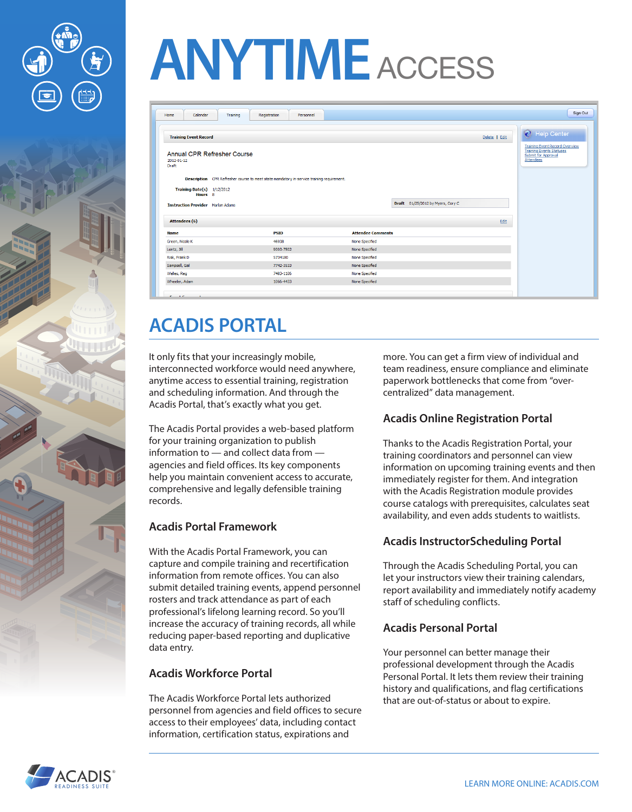



# **ANYTIME** ACCESS

| Calendar<br>Home<br>Training                       | Registration<br>Personnel                                                                 |                                   | Sign Out                                                                                                 |
|----------------------------------------------------|-------------------------------------------------------------------------------------------|-----------------------------------|----------------------------------------------------------------------------------------------------------|
| <b>Training Event Record</b>                       |                                                                                           |                                   | Help Center<br>Delete   Edit<br><b>Training Event Record Overview</b><br><b>Training Events Statuses</b> |
| Annual CPR Refresher Course<br>2012-01-12<br>Draft |                                                                                           |                                   | Submit for Approval<br>Attendees                                                                         |
|                                                    | Description CPR Refresher course to meet state mandatory in-service training requirement. |                                   |                                                                                                          |
| Training Date(s) $1/12/2012$<br>Hours 8            |                                                                                           |                                   |                                                                                                          |
| <b>Instruction Provider</b> Harlan Adams           |                                                                                           | Draft 01/25/2012 by Myers, Cory C |                                                                                                          |
| <b>Attendees (6)</b>                               |                                                                                           |                                   | Edit                                                                                                     |
| <b>Name</b>                                        | <b>PSID</b>                                                                               | <b>Attendee Comments</b>          |                                                                                                          |
| Green, Nicole K                                    | 46938                                                                                     | None Specified                    |                                                                                                          |
| Lentz, Jill                                        | 9003-7502                                                                                 | None Specified                    |                                                                                                          |
| Risk, Frank D                                      | 5734180                                                                                   | None Specified                    |                                                                                                          |
| Sampsell, Gail                                     | 7742-3533                                                                                 | None Specified                    |                                                                                                          |
| Welles, Reg.                                       | 7483-1106                                                                                 | None Specified                    |                                                                                                          |
| Wheeler, Adam                                      | 1066-4433                                                                                 | None Specified                    |                                                                                                          |
|                                                    |                                                                                           |                                   |                                                                                                          |
| Franch Francoise                                   |                                                                                           |                                   |                                                                                                          |

# **ACADIS PORTAL**

It only fits that your increasingly mobile, interconnected workforce would need anywhere, anytime access to essential training, registration and scheduling information. And through the Acadis Portal, that's exactly what you get.

The Acadis Portal provides a web-based platform for your training organization to publish information to — and collect data from agencies and field offices. Its key components help you maintain convenient access to accurate, comprehensive and legally defensible training records.

## **Acadis Portal Framework**

With the Acadis Portal Framework, you can capture and compile training and recertification information from remote offices. You can also submit detailed training events, append personnel rosters and track attendance as part of each professional's lifelong learning record. So you'll increase the accuracy of training records, all while reducing paper-based reporting and duplicative data entry.

#### **Acadis Workforce Portal**

The Acadis Workforce Portal lets authorized personnel from agencies and field offices to secure access to their employees' data, including contact information, certification status, expirations and

more. You can get a firm view of individual and team readiness, ensure compliance and eliminate paperwork bottlenecks that come from "overcentralized" data management.

## **Acadis Online Registration Portal**

Thanks to the Acadis Registration Portal, your training coordinators and personnel can view information on upcoming training events and then immediately register for them. And integration with the Acadis Registration module provides course catalogs with prerequisites, calculates seat availability, and even adds students to waitlists.

#### **Acadis InstructorScheduling Portal**

Through the Acadis Scheduling Portal, you can let your instructors view their training calendars, report availability and immediately notify academy staff of scheduling conflicts.

#### **Acadis Personal Portal**

Your personnel can better manage their professional development through the Acadis Personal Portal. It lets them review their training history and qualifications, and flag certifications that are out-of-status or about to expire.